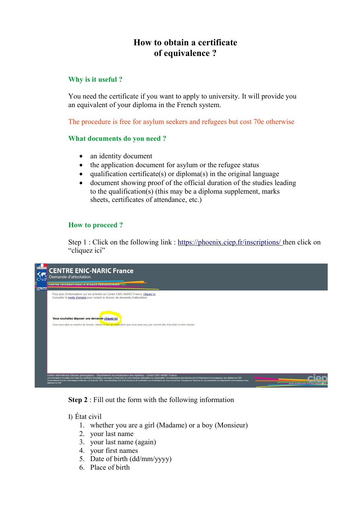# **How to obtain a certificate of equivalence ?**

# **Why is it useful ?**

You need the certificate if you want to apply to university. It will provide you an equivalent of your diploma in the French system.

The procedure is free for asylum seekers and refugees but cost 70e otherwise

# **What documents do you need ?**

- an identity document
- the application document for asylum or the refugee status
- qualification certificate(s) or diploma(s) in the original language
- document showing proof of the official duration of the studies leading to the qualification(s) (this may be a diploma supplement, marks sheets, certificates of attendance, etc.)

# **How to proceed ?**

Step 1 : Click on the following link :<https://phoenix.ciep.fr/inscriptions/> then click on "cliquez ici"



**Step 2** : Fill out the form with the following information

I) État civil

- 1. whether you are a girl (Madame) or a boy (Monsieur)
- 2. your last name
- 3. your last name (again)
- 4. your first names
- 5. Date of birth (dd/mm/yyyy)
- 6. Place of birth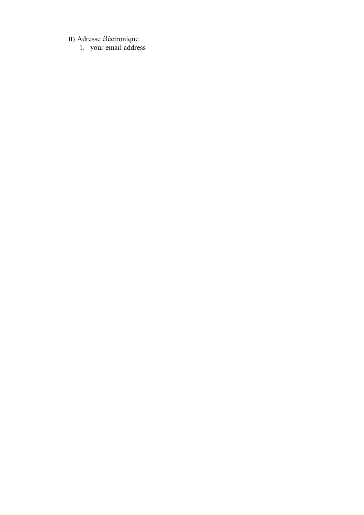II) Adresse éléctronique

1. your email address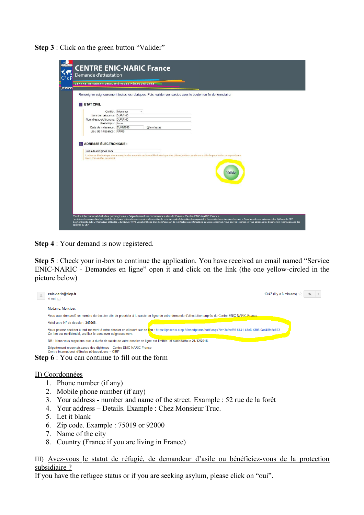**Step 3** : Click on the green button "Valider"

| <b>Enic-Nario</b> | CENTRE INTERNATIONAL D'ÉTUDES PÉDAGOGIQUES                                                                                                                                                       |
|-------------------|--------------------------------------------------------------------------------------------------------------------------------------------------------------------------------------------------|
|                   | Renseigner soigneusement toutes les rubriques. Puis, valider vos saisies avec le bouton en fin de formulaire.                                                                                    |
|                   | <b>ETAT CIVIL</b>                                                                                                                                                                                |
|                   | Civilité : Monsieur<br>$\overline{\phantom{a}}$                                                                                                                                                  |
|                   | Nom de naissance: DURAND                                                                                                                                                                         |
|                   | Nom d'usage/d'épouse: DURAND                                                                                                                                                                     |
|                   | Prénom(s) : Jean                                                                                                                                                                                 |
|                   | Date de naissance : 01/01/1990<br>(jj/mm/aaaa)                                                                                                                                                   |
|                   | Lieu de naissance : PARIS                                                                                                                                                                        |
|                   | L'adresse électronique devra accepter des courriels au format html ainsi que des pièces jointes car elle sera utilisée pour toute correspondance.<br>Merci d'en vérifier la validité.<br>Valider |
|                   |                                                                                                                                                                                                  |
|                   |                                                                                                                                                                                                  |

**Step 4** : Your demand is now registered.

**Step 5** : Check your in-box to continue the application. You have received an email named "Service ENIC-NARIC - Demandes en ligne" open it and click on the link (the one yellow-circled in the picture below)

| enic-naric@ciep.fr<br>Amoil —                                                                                                                                                                                                         | 13:47 (II $v$ a 6 minutes) |
|---------------------------------------------------------------------------------------------------------------------------------------------------------------------------------------------------------------------------------------|----------------------------|
| Madame, Monsieur,                                                                                                                                                                                                                     |                            |
| Vous avez demandé un numéro de dossier afin de procéder à la saisie en ligne de votre demande d'attestation auprès du Centre ENIC-NARIC France.                                                                                       |                            |
| Voici votre N° de dossier : 343068.                                                                                                                                                                                                   |                            |
| Vous pouvez accéder à tout moment à votre dossier en cliquant sur ce lien : https://phoenix.ciep.fr/inscriptions/notif.aspx?id=3afecf36-6741-48e6-b306-0ad48fe5c893<br>Ce lien est confidentiel, veuillez le conserver soigneusement. |                            |
| NB : Nous vous rappelons que la durée de saisie de votre dossier en ligne est limitée, et s'achèvera le 21/12/2016.                                                                                                                   |                            |
| Département reconnaissance des diplômes - Centre ENIC-NARIC France<br>Centre international d'études pédagogiques - CIEP<br><b>Step 6</b> : You can continue to fill out the form                                                      |                            |

# II) Coordonnées

- 1. Phone number (if any)
- 2. Mobile phone number (if any)
- 3. Your address number and name of the street. Example : 52 rue de la forêt
- 4. Your address Details. Example : Chez Monsieur Truc.
- 5. Let it blank
- 6. Zip code. Example : 75019 or 92000
- 7. Name of the city
- 8. Country (France if you are living in France)

III) Avez-vous le statut de réfugié, de demandeur d'asile ou bénéficiez-vous de la protection subsidiaire ?

If you have the refugee status or if you are seeking asylum, please click on "oui".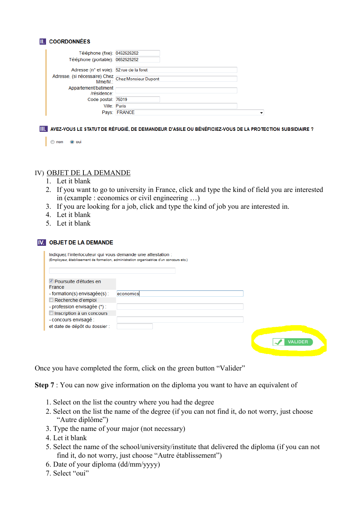#### **II.** COORDONNÉES

| Téléphone (fixe): 0452525252                                  |                     |   |
|---------------------------------------------------------------|---------------------|---|
| Téléphone (portable): 0652525252                              |                     |   |
| Adresse (n° et voie): 52 rue de la foret                      |                     |   |
| Adresse, (si nécessaire) Chez<br>Mme/M.: Chez Monsieur Dupont |                     |   |
| Appartement/batiment<br>/résidence:                           |                     |   |
| Code postal: 75019                                            |                     |   |
|                                                               | <b>Ville: Paris</b> |   |
|                                                               | Pays: FRANCE        | ▼ |

III. AVEZ-VOUS LE STATUT DE RÉFUGIÉ, DE DEMANDEUR D'ASILE OU BÉNÉFICIEZ-VOUS DE LA PROTECTION SUBSIDIAIRE ?

| non |  | ை பா |
|-----|--|------|
|-----|--|------|

#### IV) OBJET DE LA DEMANDE

- 1. Let it blank
- 2. If you want to go to university in France, click and type the kind of field you are interested in (example : economics or civil engineering …)
- 3. If you are looking for a job, click and type the kind of job you are interested in.
- 4. Let it blank
- 5. Let it blank

| Indiquez l'interlocuteur qui vous demande une attestation : | (Employeur, établissement de formation, administration organisatrice d'un concours etc.) |                |
|-------------------------------------------------------------|------------------------------------------------------------------------------------------|----------------|
| <b>▽</b> Poursuite d'études en<br>France                    |                                                                                          |                |
| $-$ formation(s) envisagée(s) :                             | economics                                                                                |                |
| Recherche d'emploi                                          |                                                                                          |                |
| - profession envisagée $(*)$ :                              |                                                                                          |                |
| Inscription à un concours                                   |                                                                                          |                |
| - concours envisagé :                                       |                                                                                          |                |
| et date de dépôt du dossier :                               |                                                                                          |                |
|                                                             |                                                                                          | <b>VALIDER</b> |

Once you have completed the form, click on the green button "Valider"

**Step 7** : You can now give information on the diploma you want to have an equivalent of

- 1. Select on the list the country where you had the degree
- 2. Select on the list the name of the degree (if you can not find it, do not worry, just choose "Autre diplôme")
- Type the name of your major (not necessary)
- 4. Let it blank
- Select the name of the school/university/institute that delivered the diploma (if you can not find it, do not worry, just choose "Autre établissement")
- Date of your diploma (dd/mm/yyyy)
- 7. Select "oui"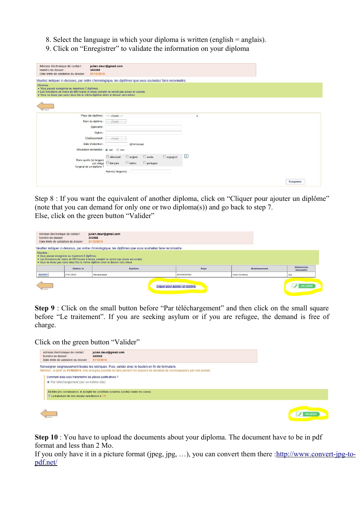- Select the language in which your diploma is written (english = anglais).
- 9. Click on "Enregistrer" to validate the information on your diploma

| Adresse électronique de contact :<br>Numéro de dossier :<br>Date limite de validation du dossier :                                                   | julien.deur@gmail.com<br>343068<br>21/12/2016                                                                                           |
|------------------------------------------------------------------------------------------------------------------------------------------------------|-----------------------------------------------------------------------------------------------------------------------------------------|
|                                                                                                                                                      | Veuillez indiquer ci-dessous, par ordre chronologique, les diplômes que vous souhaitez faire reconnaitre.                               |
| Attention:<br>· Vous pouvez enregistrer au maximum 2 diplômes.<br>· Vous ne devez pas saisir deux fois le même diplôme sinon le dossier sera refusé. | · Les formations de moins de 600 heures à temps complet ne seront pas prises en compte.                                                 |
|                                                                                                                                                      |                                                                                                                                         |
|                                                                                                                                                      | Pays (du diplôme) : ----- choisir -----<br>$\check{}$                                                                                   |
|                                                                                                                                                      | Nom du diplôme : [----- choisir ----- -                                                                                                 |
|                                                                                                                                                      | Spécialité :                                                                                                                            |
|                                                                                                                                                      | Option:                                                                                                                                 |
|                                                                                                                                                      | Etablissement : [----- choisir ----- v                                                                                                  |
|                                                                                                                                                      | Date d'obtention :<br>(jj/mm/aaaa)                                                                                                      |
|                                                                                                                                                      | Attestation demandée : @ oui<br>on                                                                                                      |
| Dans quelle (s) langues<br>l'original de ce diplôme ?                                                                                                | $\vert \vert$<br>allemand<br>$\Box$ espagnol<br>$\Box$ anglais<br>$\Box$ arabe<br>$\Box$ portugais<br>italien<br>est rédigé<br>français |
|                                                                                                                                                      | Autre(s) langue(s):                                                                                                                     |
|                                                                                                                                                      | Enregistrer                                                                                                                             |

Step 8 : If you want the equivalent of another diploma, click on "Cliquer pour ajouter un diplôme" (note that you can demand for only one or two diploma(s)) and go back to step 7. Else, click on the green button "Valider"

| Adresse électronique de contact :<br>Numéro de dossier :<br>Date limite de validation du dossier : |                                                  | julien.deur@gmail.com<br>343068<br>21/12/2016                                                                                                                                 |                    |      |                         |                                |
|----------------------------------------------------------------------------------------------------|--------------------------------------------------|-------------------------------------------------------------------------------------------------------------------------------------------------------------------------------|--------------------|------|-------------------------|--------------------------------|
|                                                                                                    |                                                  | Veuillez indiquer ci-dessous, par ordre chronologique, les diplômes que vous souhaitez faire reconnaitre.                                                                     |                    |      |                         |                                |
| Attention:                                                                                         | · Vous pouvez enregistrer au maximum 2 diplômes. | . Les formations de moins de 600 heures à temps complet ne seront pas prises en compte.<br>· Vous ne devez pas saisir deux fois le même diplôme sinon le dossier sera refusé. |                    |      |                         |                                |
|                                                                                                    |                                                  |                                                                                                                                                                               |                    |      |                         |                                |
|                                                                                                    | Obtenu le                                        | <b>Diplôme</b>                                                                                                                                                                |                    | Pays | <b>Etablissement</b>    | <b>Attestation</b><br>demandée |
| Modifier                                                                                           | 01/01/2002                                       | Baccalaureate                                                                                                                                                                 | <b>AFGHANISTAN</b> |      | <b>Kabul University</b> | oui                            |

**Step 9** : Click on the small button before "Par téléchargement" and then click on the small square before "Le traitement". If you are seeking asylum or if you are refugee, the demand is free of charge.

Click on the green button "Valider"

| Adresse électronique de contact :<br>Numéro de dossier :<br>Date limite de validation du dossier :    | julien.deur@gmail.com<br>343068<br>21/12/2016                                                                                                                                                                                                   |  |
|-------------------------------------------------------------------------------------------------------|-------------------------------------------------------------------------------------------------------------------------------------------------------------------------------------------------------------------------------------------------|--|
|                                                                                                       | Renseigner soigneusement toutes les rubriques. Puis, valider avec le bouton en fin de formulaire.<br>Attention : à partir du 01/08/2014, il ne sera plus possible de faire parvenir les dossiers de demande de reconnaissance par voie postale. |  |
| Comment allez-vous transmettre les pièces justificatives ?<br>· Par téléchargement (sur ce même site) |                                                                                                                                                                                                                                                 |  |
| Le traitement de mon dossier sera facturé à 70€                                                       | J'ai bien pris connaissance, et accepte les conditions suivantes (cochez toutes les cases):                                                                                                                                                     |  |
|                                                                                                       |                                                                                                                                                                                                                                                 |  |

**Step 10** : You have to upload the documents about your diploma. The document have to be in pdf format and less than 2 Mo.

If you only have it in a picture format (jpeg, jpg, ...), you can convert them there [:http://www.convert-jpg-to](http://www.convert-jpg-to-pdf.net/)[pdf.net/](http://www.convert-jpg-to-pdf.net/)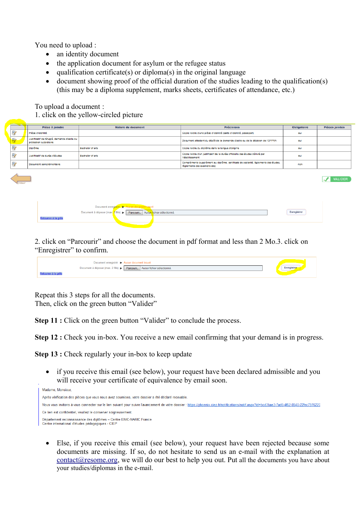You need to upload :

- an identity document
- the application document for asylum or the refugee status
- $\bullet$  qualification certificate(s) or diploma(s) in the original language
- document showing proof of the official duration of the studies leading to the qualification(s) (this may be a diploma supplement, marks sheets, certificates of attendance, etc.)

To upload a document :

1. click on the yellow-circled picture

|              | Pièce à joindre                                                       | Nature du document | <b>Précisions</b>                                                                                                  | <b>Obligatoire</b> | Pièces jointes |
|--------------|-----------------------------------------------------------------------|--------------------|--------------------------------------------------------------------------------------------------------------------|--------------------|----------------|
| D)           | Pièce d'identité                                                      |                    | Copie lisible d'une pièce d'identité (carte d'identité, passeport)                                                 | ou                 |                |
| $\mathbf{D}$ | Justificatif de réfugié, demande d'asile ou<br>protection subsidiaire |                    | Document attestant du dépôt de la demande d'asile ou de la décision de l'OFPRA                                     | ou                 |                |
| O)           | <b>Diplôme</b>                                                        | Bachelor of arts   | Copie lisible du diplôme dans la langue d'origine                                                                  | ou                 |                |
| D)           | Justificatif de durée d'études                                        | Bachelor of arts   | Copie lisible d'un justificatif de la durée officielle des études délivré par<br>l'établissement                   | out                |                |
| D)           | Document complémentaire                                               |                    | Compléments (supplément au diplôme, certificats de scolarité, églements des études,<br>règlements des examens etc) | non                |                |

VALIDER

| Document enregistré > Aucun document trouvé |                                                                        |  |  |  |             |  |
|---------------------------------------------|------------------------------------------------------------------------|--|--|--|-------------|--|
|                                             | Document à déposer (max. 2 Mo) > Parcourir. Aucun fichier sélectionné. |  |  |  | Enregistrer |  |
|                                             |                                                                        |  |  |  |             |  |
|                                             |                                                                        |  |  |  |             |  |

2. click on "Parcourir" and choose the document in pdf format and less than 2 Mo.3. click on "Enregistrer" to confirm.

| Document enregistré > Aucun document trouvé                                |            |
|----------------------------------------------------------------------------|------------|
| Document à déposer (max. 2 Mo) >   Parcourir.   Aucun fichier sélectionné. | Enregistre |
|                                                                            |            |

Repeat this 3 steps for all the documents. Then, click on the green button "Valider"

**Step 11 :** Click on the green button "Valider" to conclude the process.

**Step 12 :** Check you in-box. You receive a new email confirming that your demand is in progress.

**Step 13 :** Check regularly your in-box to keep update

 if you receive this email (see below), your request have been declared admissible and you will receive your certificate of equivalence by email soon.

| Madame, Monsieur,                                                                                                                                                                            |
|----------------------------------------------------------------------------------------------------------------------------------------------------------------------------------------------|
| Après vérification des pièces que vous nous avez soumises, votre dossier a été déclaré recevable.                                                                                            |
| Nous vous invitons à vous connecter sur le lien suivant pour suivre l'avancement de votre dossier : https://phoenix.ciep.fr/notifications/notif.aspx?id=bcd3bae3-7ad6-4f62-8540-22fec7976220 |
| Ce lien est confidentiel, veuillez le conserver soigneusement.                                                                                                                               |
| Département reconnaissance des diplômes - Centre ENIC-NARIC France<br>Centre international d'études pédagogiques - CIEP                                                                      |

 Else, if you receive this email (see below), your request have been rejected because some documents are missing. If so, do not hesitate to send us an e-mail with the explanation at [contact@resome.org,](mailto:contact@resome.org) we will do our best to help you out. Put all the documents you have about your studies/diplomas in the e-mail.